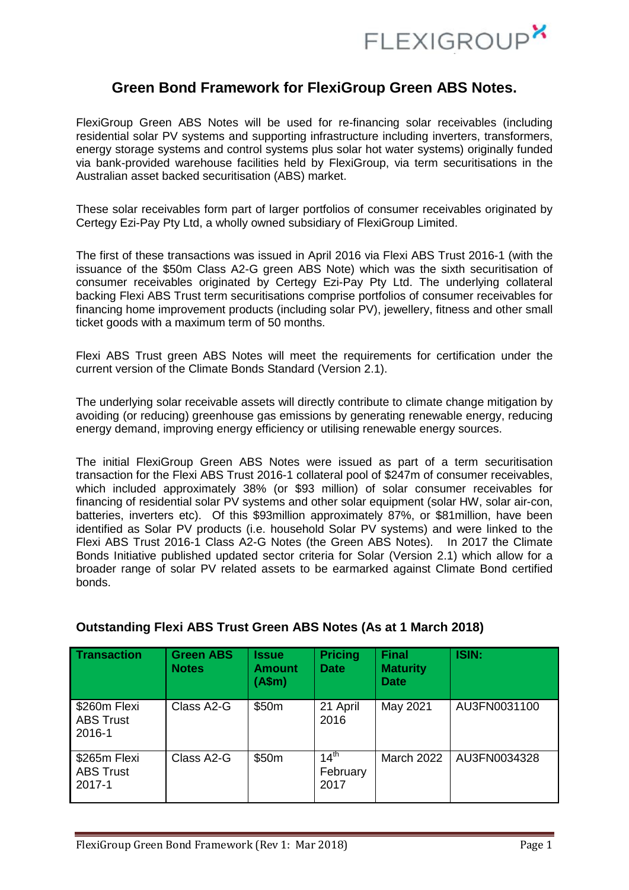

# **Green Bond Framework for FlexiGroup Green ABS Notes.**

FlexiGroup Green ABS Notes will be used for re-financing solar receivables (including residential solar PV systems and supporting infrastructure including inverters, transformers, energy storage systems and control systems plus solar hot water systems) originally funded via bank-provided warehouse facilities held by FlexiGroup, via term securitisations in the Australian asset backed securitisation (ABS) market.

These solar receivables form part of larger portfolios of consumer receivables originated by Certegy Ezi-Pay Pty Ltd, a wholly owned subsidiary of FlexiGroup Limited.

The first of these transactions was issued in April 2016 via Flexi ABS Trust 2016-1 (with the issuance of the \$50m Class A2-G green ABS Note) which was the sixth securitisation of consumer receivables originated by Certegy Ezi-Pay Pty Ltd. The underlying collateral backing Flexi ABS Trust term securitisations comprise portfolios of consumer receivables for financing home improvement products (including solar PV), jewellery, fitness and other small ticket goods with a maximum term of 50 months.

Flexi ABS Trust green ABS Notes will meet the requirements for certification under the current version of the Climate Bonds Standard (Version 2.1).

The underlying solar receivable assets will directly contribute to climate change mitigation by avoiding (or reducing) greenhouse gas emissions by generating renewable energy, reducing energy demand, improving energy efficiency or utilising renewable energy sources.

The initial FlexiGroup Green ABS Notes were issued as part of a term securitisation transaction for the Flexi ABS Trust 2016-1 collateral pool of \$247m of consumer receivables, which included approximately 38% (or \$93 million) of solar consumer receivables for financing of residential solar PV systems and other solar equipment (solar HW, solar air-con, batteries, inverters etc). Of this \$93million approximately 87%, or \$81million, have been identified as Solar PV products (i.e. household Solar PV systems) and were linked to the Flexi ABS Trust 2016-1 Class A2-G Notes (the Green ABS Notes). In 2017 the Climate Bonds Initiative published updated sector criteria for Solar (Version 2.1) which allow for a broader range of solar PV related assets to be earmarked against Climate Bond certified bonds.

| <b>Transaction</b>                         | <b>Green ABS</b><br><b>Notes</b> | <b>Issue</b><br><b>Amount</b><br>(A\$m) | <b>Pricing</b><br><b>Date</b>        | <b>Final</b><br><b>Maturity</b><br><b>Date</b> | ISIN:        |
|--------------------------------------------|----------------------------------|-----------------------------------------|--------------------------------------|------------------------------------------------|--------------|
| \$260m Flexi<br><b>ABS Trust</b><br>2016-1 | Class A2-G                       | \$50m                                   | 21 April<br>2016                     | May 2021                                       | AU3FN0031100 |
| \$265m Flexi<br><b>ABS Trust</b><br>2017-1 | Class A2-G                       | \$50m                                   | 14 <sup>th</sup><br>February<br>2017 | <b>March 2022</b>                              | AU3FN0034328 |

## **Outstanding Flexi ABS Trust Green ABS Notes (As at 1 March 2018)**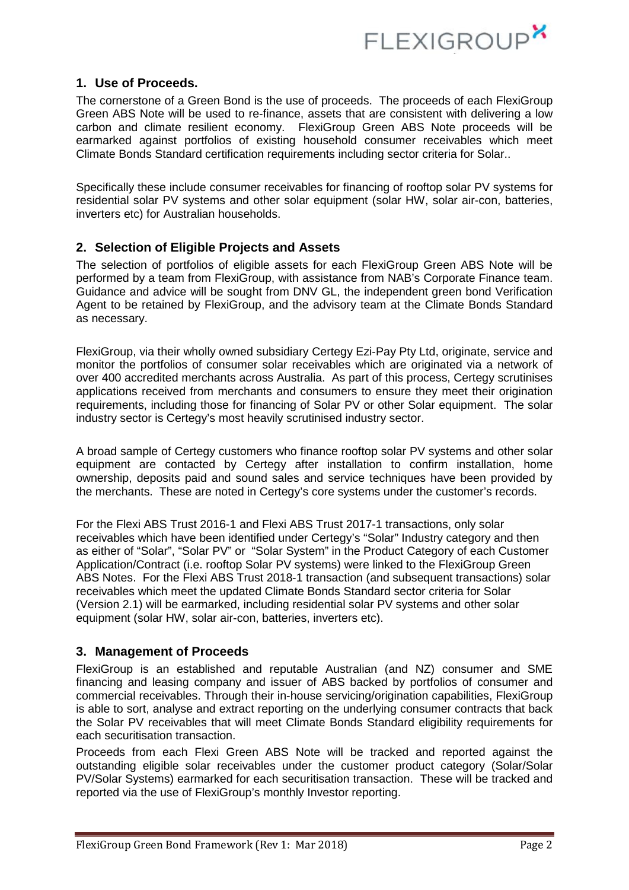

### **1. Use of Proceeds.**

The cornerstone of a Green Bond is the use of proceeds. The proceeds of each FlexiGroup Green ABS Note will be used to re-finance, assets that are consistent with delivering a low carbon and climate resilient economy. FlexiGroup Green ABS Note proceeds will be earmarked against portfolios of existing household consumer receivables which meet Climate Bonds Standard certification requirements including sector criteria for Solar..

Specifically these include consumer receivables for financing of rooftop solar PV systems for residential solar PV systems and other solar equipment (solar HW, solar air-con, batteries, inverters etc) for Australian households.

### **2. Selection of Eligible Projects and Assets**

The selection of portfolios of eligible assets for each FlexiGroup Green ABS Note will be performed by a team from FlexiGroup, with assistance from NAB's Corporate Finance team. Guidance and advice will be sought from DNV GL, the independent green bond Verification Agent to be retained by FlexiGroup, and the advisory team at the Climate Bonds Standard as necessary.

FlexiGroup, via their wholly owned subsidiary Certegy Ezi-Pay Pty Ltd, originate, service and monitor the portfolios of consumer solar receivables which are originated via a network of over 400 accredited merchants across Australia. As part of this process, Certegy scrutinises applications received from merchants and consumers to ensure they meet their origination requirements, including those for financing of Solar PV or other Solar equipment. The solar industry sector is Certegy's most heavily scrutinised industry sector.

A broad sample of Certegy customers who finance rooftop solar PV systems and other solar equipment are contacted by Certegy after installation to confirm installation, home ownership, deposits paid and sound sales and service techniques have been provided by the merchants. These are noted in Certegy's core systems under the customer's records.

For the Flexi ABS Trust 2016-1 and Flexi ABS Trust 2017-1 transactions, only solar receivables which have been identified under Certegy's "Solar" Industry category and then as either of "Solar", "Solar PV" or "Solar System" in the Product Category of each Customer Application/Contract (i.e. rooftop Solar PV systems) were linked to the FlexiGroup Green ABS Notes. For the Flexi ABS Trust 2018-1 transaction (and subsequent transactions) solar receivables which meet the updated Climate Bonds Standard sector criteria for Solar (Version 2.1) will be earmarked, including residential solar PV systems and other solar equipment (solar HW, solar air-con, batteries, inverters etc).

#### **3. Management of Proceeds**

FlexiGroup is an established and reputable Australian (and NZ) consumer and SME financing and leasing company and issuer of ABS backed by portfolios of consumer and commercial receivables. Through their in-house servicing/origination capabilities, FlexiGroup is able to sort, analyse and extract reporting on the underlying consumer contracts that back the Solar PV receivables that will meet Climate Bonds Standard eligibility requirements for each securitisation transaction.

Proceeds from each Flexi Green ABS Note will be tracked and reported against the outstanding eligible solar receivables under the customer product category (Solar/Solar PV/Solar Systems) earmarked for each securitisation transaction. These will be tracked and reported via the use of FlexiGroup's monthly Investor reporting.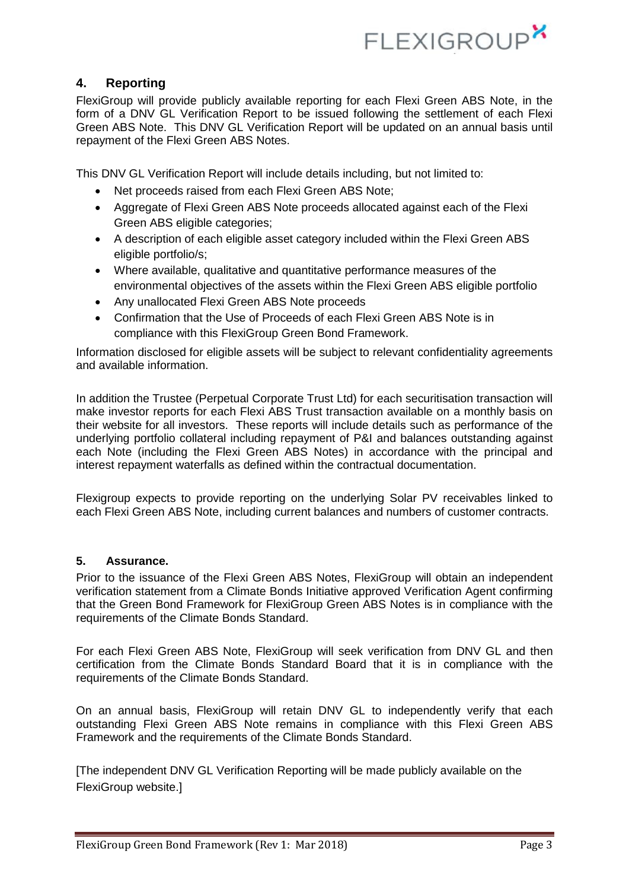

### **4. Reporting**

FlexiGroup will provide publicly available reporting for each Flexi Green ABS Note, in the form of a DNV GL Verification Report to be issued following the settlement of each Flexi Green ABS Note. This DNV GL Verification Report will be updated on an annual basis until repayment of the Flexi Green ABS Notes.

This DNV GL Verification Report will include details including, but not limited to:

- Net proceeds raised from each Flexi Green ABS Note;
- Aggregate of Flexi Green ABS Note proceeds allocated against each of the Flexi Green ABS eligible categories;
- A description of each eligible asset category included within the Flexi Green ABS eligible portfolio/s;
- Where available, qualitative and quantitative performance measures of the environmental objectives of the assets within the Flexi Green ABS eligible portfolio
- Any unallocated Flexi Green ABS Note proceeds
- Confirmation that the Use of Proceeds of each Flexi Green ABS Note is in compliance with this FlexiGroup Green Bond Framework.

Information disclosed for eligible assets will be subject to relevant confidentiality agreements and available information.

In addition the Trustee (Perpetual Corporate Trust Ltd) for each securitisation transaction will make investor reports for each Flexi ABS Trust transaction available on a monthly basis on their website for all investors. These reports will include details such as performance of the underlying portfolio collateral including repayment of P&I and balances outstanding against each Note (including the Flexi Green ABS Notes) in accordance with the principal and interest repayment waterfalls as defined within the contractual documentation.

Flexigroup expects to provide reporting on the underlying Solar PV receivables linked to each Flexi Green ABS Note, including current balances and numbers of customer contracts.

#### **5. Assurance.**

Prior to the issuance of the Flexi Green ABS Notes, FlexiGroup will obtain an independent verification statement from a Climate Bonds Initiative approved Verification Agent confirming that the Green Bond Framework for FlexiGroup Green ABS Notes is in compliance with the requirements of the Climate Bonds Standard.

For each Flexi Green ABS Note, FlexiGroup will seek verification from DNV GL and then certification from the Climate Bonds Standard Board that it is in compliance with the requirements of the Climate Bonds Standard.

On an annual basis, FlexiGroup will retain DNV GL to independently verify that each outstanding Flexi Green ABS Note remains in compliance with this Flexi Green ABS Framework and the requirements of the Climate Bonds Standard.

[The independent DNV GL Verification Reporting will be made publicly available on the FlexiGroup website.]